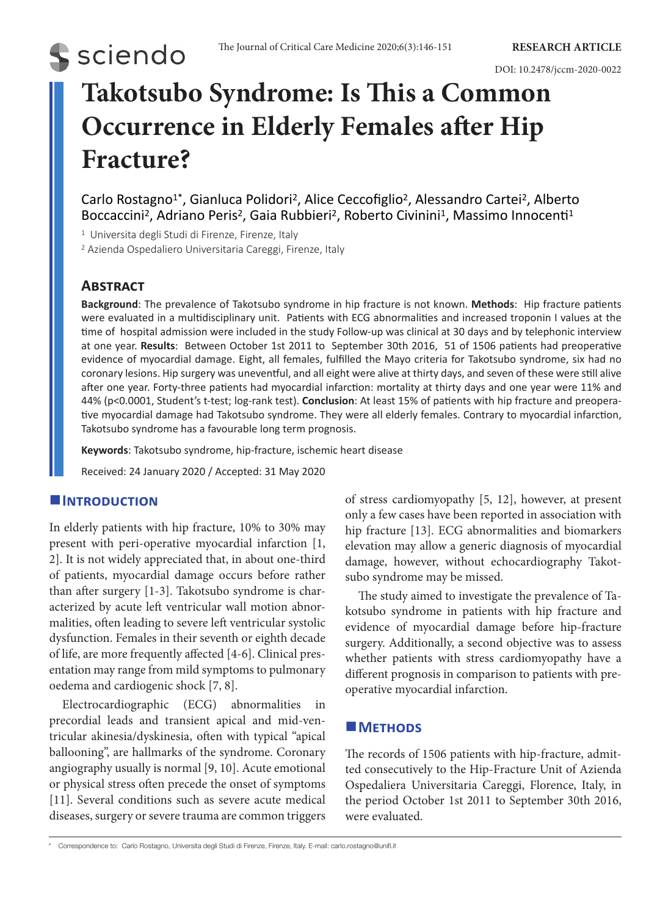# **S** sciendo

DOI: 10.2478/jccm-2020-0022

## **Takotsubo Syndrome: Is This a Common Occurrence in Elderly Females after Hip Fracture?**

Carlo Rostagno<sup>1\*</sup>, Gianluca Polidori<sup>2</sup>, Alice Ceccofiglio<sup>2</sup>, Alessandro Cartei<sup>2</sup>, Alberto Boccaccini<sup>2</sup>, Adriano Peris<sup>2</sup>, Gaia Rubbieri<sup>2</sup>, Roberto Civinini<sup>1</sup>, Massimo Innocenti<sup>1</sup>

<sup>1</sup> Universita degli Studi di Firenze, Firenze, Italy

2 Azienda Ospedaliero Universitaria Careggi, Firenze, Italy

### **Abstract**

**Background**: The prevalence of Takotsubo syndrome in hip fracture is not known. **Methods**: Hip fracture patients were evaluated in a multidisciplinary unit. Patients with ECG abnormalities and increased troponin I values at the time of hospital admission were included in the study Follow-up was clinical at 30 days and by telephonic interview at one year. **Results**: Between October 1st 2011 to September 30th 2016, 51 of 1506 patients had preoperative evidence of myocardial damage. Eight, all females, fulfilled the Mayo criteria for Takotsubo syndrome, six had no coronary lesions. Hip surgery was uneventful, and all eight were alive at thirty days, and seven of these were still alive after one year. Forty-three patients had myocardial infarction: mortality at thirty days and one year were 11% and 44% (p<0.0001, Student's t-test; log-rank test). **Conclusion**: At least 15% of patients with hip fracture and preoperative myocardial damage had Takotsubo syndrome. They were all elderly females. Contrary to myocardial infarction, Takotsubo syndrome has a favourable long term prognosis.

**Keywords**: Takotsubo syndrome, hip-fracture, ischemic heart disease

Received: 24 January 2020 / Accepted: 31 May 2020

#### **INTRODUCTION**

In elderly patients with hip fracture, 10% to 30% may present with peri-operative myocardial infarction [1, 2]. It is not widely appreciated that, in about one-third of patients, myocardial damage occurs before rather than after surgery [1-3]. Takotsubo syndrome is characterized by acute left ventricular wall motion abnormalities, often leading to severe left ventricular systolic dysfunction. Females in their seventh or eighth decade of life, are more frequently affected [4-6]. Clinical presentation may range from mild symptoms to pulmonary oedema and cardiogenic shock [7, 8].

Electrocardiographic (ECG) abnormalities in precordial leads and transient apical and mid-ventricular akinesia/dyskinesia, often with typical "apical ballooning", are hallmarks of the syndrome. Coronary angiography usually is normal [9, 10]. Acute emotional or physical stress often precede the onset of symptoms [11]. Several conditions such as severe acute medical diseases, surgery or severe trauma are common triggers

of stress cardiomyopathy [5, 12], however, at present only a few cases have been reported in association with hip fracture [13]. ECG abnormalities and biomarkers elevation may allow a generic diagnosis of myocardial damage, however, without echocardiography Takotsubo syndrome may be missed.

The study aimed to investigate the prevalence of Takotsubo syndrome in patients with hip fracture and evidence of myocardial damage before hip-fracture surgery. Additionally, a second objective was to assess whether patients with stress cardiomyopathy have a different prognosis in comparison to patients with preoperative myocardial infarction.

#### **METHODS**

The records of 1506 patients with hip-fracture, admitted consecutively to the Hip-Fracture Unit of Azienda Ospedaliera Universitaria Careggi, Florence, Italy, in the period October 1st 2011 to September 30th 2016, were evaluated.

\* Correspondence to: Carlo Rostagno, Universita degli Studi di Firenze, Firenze, Italy. E-mail: carlo.rostagno@unifi.it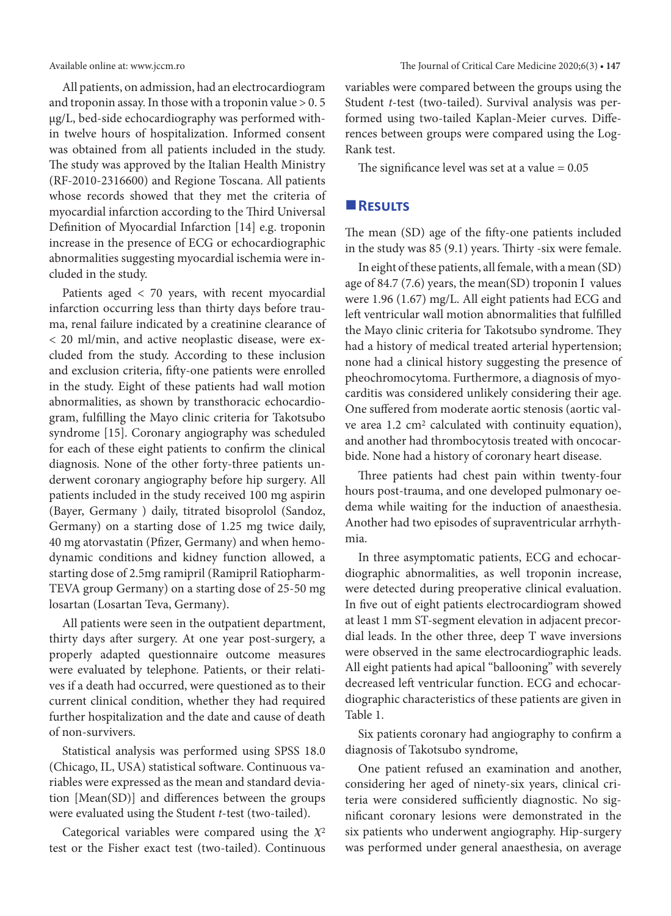All patients, on admission, had an electrocardiogram and troponin assay. In those with a troponin value  $> 0.5$ μg/L, bed-side echocardiography was performed within twelve hours of hospitalization. Informed consent was obtained from all patients included in the study. The study was approved by the Italian Health Ministry (RF-2010-2316600) and Regione Toscana. All patients whose records showed that they met the criteria of myocardial infarction according to the Third Universal Definition of Myocardial Infarction [14] e.g. troponin increase in the presence of ECG or echocardiographic abnormalities suggesting myocardial ischemia were included in the study.

Patients aged < 70 years, with recent myocardial infarction occurring less than thirty days before trauma, renal failure indicated by a creatinine clearance of < 20 ml/min, and active neoplastic disease, were excluded from the study. According to these inclusion and exclusion criteria, fifty-one patients were enrolled in the study. Eight of these patients had wall motion abnormalities, as shown by transthoracic echocardiogram, fulfilling the Mayo clinic criteria for Takotsubo syndrome [15]. Coronary angiography was scheduled for each of these eight patients to confirm the clinical diagnosis. None of the other forty-three patients underwent coronary angiography before hip surgery. All patients included in the study received 100 mg aspirin (Bayer, Germany ) daily, titrated bisoprolol (Sandoz, Germany) on a starting dose of 1.25 mg twice daily, 40 mg atorvastatin (Pfizer, Germany) and when hemodynamic conditions and kidney function allowed, a starting dose of 2.5mg ramipril (Ramipril Ratiopharm-TEVA group Germany) on a starting dose of 25-50 mg losartan (Losartan Teva, Germany).

All patients were seen in the outpatient department, thirty days after surgery. At one year post-surgery, a properly adapted questionnaire outcome measures were evaluated by telephone. Patients, or their relatives if a death had occurred, were questioned as to their current clinical condition, whether they had required further hospitalization and the date and cause of death of non-survivers.

Statistical analysis was performed using SPSS 18.0 (Chicago, IL, USA) statistical software. Continuous variables were expressed as the mean and standard deviation [Mean(SD)] and differences between the groups were evaluated using the Student *t*-test (two-tailed).

Categorical variables were compared using the  $X^2$ test or the Fisher exact test (two-tailed). Continuous variables were compared between the groups using the Student *t*-test (two-tailed). Survival analysis was performed using two-tailed Kaplan-Meier curves. Differences between groups were compared using the Log-Rank test.

The significance level was set at a value  $= 0.05$ 

#### **Results**

The mean (SD) age of the fifty-one patients included in the study was 85 (9.1) years. Thirty -six were female.

In eight of these patients, all female, with a mean (SD) age of 84.7 (7.6) years, the mean(SD) troponin I values were 1.96 (1.67) mg/L. All eight patients had ECG and left ventricular wall motion abnormalities that fulfilled the Mayo clinic criteria for Takotsubo syndrome. They had a history of medical treated arterial hypertension; none had a clinical history suggesting the presence of pheochromocytoma. Furthermore, a diagnosis of myocarditis was considered unlikely considering their age. One suffered from moderate aortic stenosis (aortic valve area 1.2 cm2 calculated with continuity equation), and another had thrombocytosis treated with oncocarbide. None had a history of coronary heart disease.

Three patients had chest pain within twenty-four hours post-trauma, and one developed pulmonary oedema while waiting for the induction of anaesthesia. Another had two episodes of supraventricular arrhythmia.

In three asymptomatic patients, ECG and echocardiographic abnormalities, as well troponin increase, were detected during preoperative clinical evaluation. In five out of eight patients electrocardiogram showed at least 1 mm ST-segment elevation in adjacent precordial leads. In the other three, deep T wave inversions were observed in the same electrocardiographic leads. All eight patients had apical "ballooning" with severely decreased left ventricular function. ECG and echocardiographic characteristics of these patients are given in Table 1.

Six patients coronary had angiography to confirm a diagnosis of Takotsubo syndrome,

One patient refused an examination and another, considering her aged of ninety-six years, clinical criteria were considered sufficiently diagnostic. No significant coronary lesions were demonstrated in the six patients who underwent angiography. Hip-surgery was performed under general anaesthesia, on average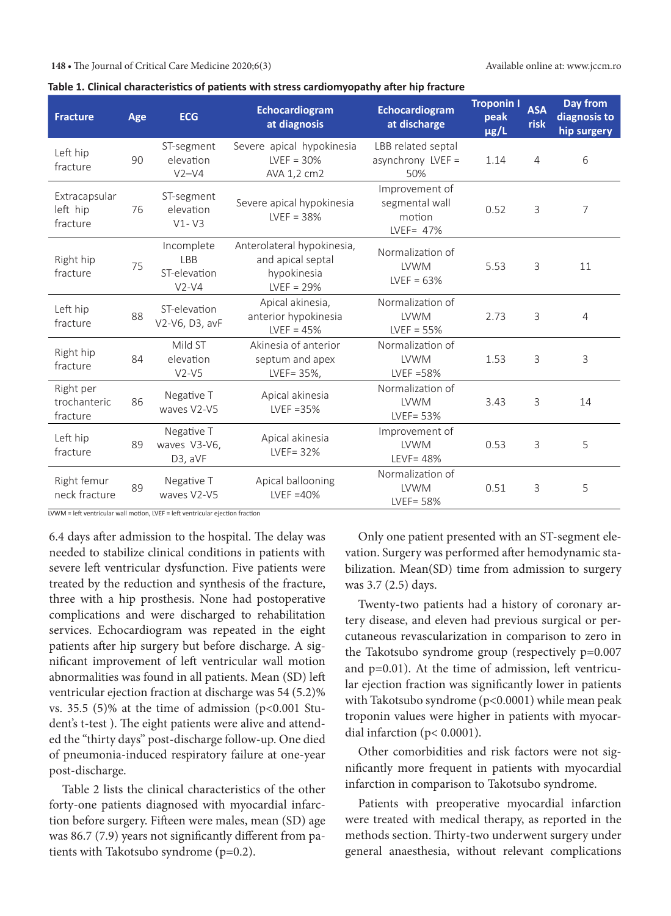| <b>Fracture</b>                       | Age | <b>ECG</b>                                   | Echocardiogram<br>at diagnosis                                                 | Echocardiogram<br>at discharge                            | <b>Troponin I</b><br>peak<br>µg/L | <b>ASA</b><br>risk | Day from<br>diagnosis to<br>hip surgery |
|---------------------------------------|-----|----------------------------------------------|--------------------------------------------------------------------------------|-----------------------------------------------------------|-----------------------------------|--------------------|-----------------------------------------|
| Left hip<br>fracture                  | 90  | ST-segment<br>elevation<br>$V2-V4$           | Severe apical hypokinesia<br>$LVEF = 30%$<br>AVA 1,2 cm2                       | LBB related septal<br>asynchrony LVEF =<br>50%            | 1.14                              | $\overline{4}$     | 6                                       |
| Extracapsular<br>left hip<br>fracture | 76  | ST-segment<br>elevation<br>$V1 - V3$         | Severe apical hypokinesia<br>$LVEF = 38%$                                      | Improvement of<br>segmental wall<br>motion<br>LVEF= $47%$ | 0.52                              | $\mathbf{3}$       | 7                                       |
| Right hip<br>fracture                 | 75  | Incomplete<br>LBB<br>ST-elevation<br>$V2-V4$ | Anterolateral hypokinesia,<br>and apical septal<br>hypokinesia<br>$LVEF = 29%$ | Normalization of<br><b>LVWM</b><br>$LVEF = 63%$           | 5.53                              | 3                  | 11                                      |
| Left hip<br>fracture                  | 88  | ST-elevation<br>V2-V6, D3, avF               | Apical akinesia,<br>anterior hypokinesia<br>$LVEF = 45%$                       | Normalization of<br><b>LVWM</b><br>$LVEF = 55%$           | 2.73                              | 3                  | $\overline{4}$                          |
| Right hip<br>fracture                 | 84  | Mild ST<br>elevation<br>$V2-V5$              | Akinesia of anterior<br>septum and apex<br>LVEF= 35%,                          | Normalization of<br><b>LVWM</b><br>LVEF $=58%$            | 1.53                              | 3                  | 3                                       |
| Right per<br>trochanteric<br>fracture | 86  | Negative T<br>waves V2-V5                    | Apical akinesia<br>LVEF $=35%$                                                 | Normalization of<br><b>LVWM</b><br>$LVEF = 53%$           | 3.43                              | 3                  | 14                                      |
| Left hip<br>fracture                  | 89  | Negative T<br>waves V3-V6,<br>D3, aVF        | Apical akinesia<br>$LVEF = 32%$                                                | Improvement of<br><b>LVWM</b><br>LEVF=48%                 | 0.53                              | 3                  | 5                                       |
| Right femur<br>neck fracture          | 89  | Negative T<br>waves V2-V5                    | Apical ballooning<br>$LVEF = 40%$                                              | Normalization of<br><b>LVWM</b><br>$LVEF = 58%$           | 0.51                              | $\mathbf{3}$       | 5                                       |

| Table 1. Clinical characteristics of patients with stress cardiomyopathy after hip fracture |  |  |  |
|---------------------------------------------------------------------------------------------|--|--|--|
|---------------------------------------------------------------------------------------------|--|--|--|

LVWM = left ventricular wall motion, LVEF = left ventricular ejection fraction

6.4 days after admission to the hospital. The delay was needed to stabilize clinical conditions in patients with severe left ventricular dysfunction. Five patients were treated by the reduction and synthesis of the fracture, three with a hip prosthesis. None had postoperative complications and were discharged to rehabilitation services. Echocardiogram was repeated in the eight patients after hip surgery but before discharge. A significant improvement of left ventricular wall motion abnormalities was found in all patients. Mean (SD) left ventricular ejection fraction at discharge was 54 (5.2)% vs. 35.5  $(5)$ % at the time of admission  $(p<0.001$  Student's t-test ). The eight patients were alive and attended the "thirty days" post-discharge follow-up. One died of pneumonia-induced respiratory failure at one-year post-discharge.

Table 2 lists the clinical characteristics of the other forty-one patients diagnosed with myocardial infarction before surgery. Fifteen were males, mean (SD) age was 86.7 (7.9) years not significantly different from patients with Takotsubo syndrome (p=0.2).

Only one patient presented with an ST-segment elevation. Surgery was performed after hemodynamic stabilization. Mean(SD) time from admission to surgery was 3.7 (2.5) days.

Twenty-two patients had a history of coronary artery disease, and eleven had previous surgical or percutaneous revascularization in comparison to zero in the Takotsubo syndrome group (respectively p=0.007 and p=0.01). At the time of admission, left ventricular ejection fraction was significantly lower in patients with Takotsubo syndrome (p<0.0001) while mean peak troponin values were higher in patients with myocardial infarction (p< 0.0001).

Other comorbidities and risk factors were not significantly more frequent in patients with myocardial infarction in comparison to Takotsubo syndrome.

Patients with preoperative myocardial infarction were treated with medical therapy, as reported in the methods section. Thirty-two underwent surgery under general anaesthesia, without relevant complications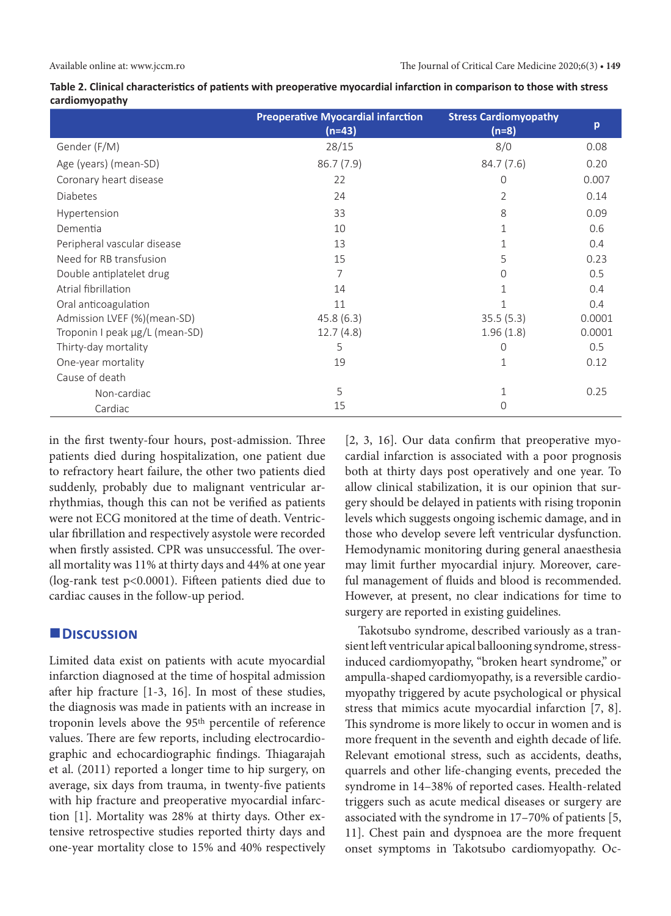|                                | <b>Preoperative Myocardial infarction</b><br>$(n=43)$ | <b>Stress Cardiomyopathy</b><br>$(n=8)$ | p      |
|--------------------------------|-------------------------------------------------------|-----------------------------------------|--------|
| Gender (F/M)                   | 28/15                                                 | 8/0                                     | 0.08   |
| Age (years) (mean-SD)          | 86.7(7.9)                                             | 84.7 (7.6)                              | 0.20   |
| Coronary heart disease         | 22                                                    | 0                                       | 0.007  |
| <b>Diabetes</b>                | 24                                                    | 2                                       | 0.14   |
| Hypertension                   | 33                                                    | 8                                       | 0.09   |
| Dementia                       | 10                                                    | 1                                       | 0.6    |
| Peripheral vascular disease    | 13                                                    |                                         | 0.4    |
| Need for RB transfusion        | 15                                                    | 5                                       | 0.23   |
| Double antiplatelet drug       |                                                       | 0                                       | 0.5    |
| Atrial fibrillation            | 14                                                    |                                         | 0.4    |
| Oral anticoagulation           | 11                                                    |                                         | 0.4    |
| Admission LVEF (%)(mean-SD)    | 45.8(6.3)                                             | 35.5(5.3)                               | 0.0001 |
| Troponin I peak µg/L (mean-SD) | 12.7(4.8)                                             | 1.96(1.8)                               | 0.0001 |
| Thirty-day mortality           | 5                                                     | 0                                       | 0.5    |
| One-year mortality             | 19                                                    | $\mathbf 1$                             | 0.12   |
| Cause of death                 |                                                       |                                         |        |
| Non-cardiac                    | 5                                                     |                                         | 0.25   |
| Cardiac                        | 15                                                    | 0                                       |        |

**Table 2. Clinical characteristics of patients with preoperative myocardial infarction in comparison to those with stress cardiomyopathy** 

in the first twenty-four hours, post-admission. Three patients died during hospitalization, one patient due to refractory heart failure, the other two patients died suddenly, probably due to malignant ventricular arrhythmias, though this can not be verified as patients were not ECG monitored at the time of death. Ventricular fibrillation and respectively asystole were recorded when firstly assisted. CPR was unsuccessful. The overall mortality was 11% at thirty days and 44% at one year (log-rank test p<0.0001). Fifteen patients died due to cardiac causes in the follow-up period.

#### **Discussion**

Limited data exist on patients with acute myocardial infarction diagnosed at the time of hospital admission after hip fracture [1-3, 16]. In most of these studies, the diagnosis was made in patients with an increase in troponin levels above the 95th percentile of reference values. There are few reports, including electrocardiographic and echocardiographic findings. Thiagarajah et al. (2011) reported a longer time to hip surgery, on average, six days from trauma, in twenty-five patients with hip fracture and preoperative myocardial infarction [1]. Mortality was 28% at thirty days. Other extensive retrospective studies reported thirty days and one-year mortality close to 15% and 40% respectively [2, 3, 16]. Our data confirm that preoperative myocardial infarction is associated with a poor prognosis both at thirty days post operatively and one year. To allow clinical stabilization, it is our opinion that surgery should be delayed in patients with rising troponin levels which suggests ongoing ischemic damage, and in those who develop severe left ventricular dysfunction. Hemodynamic monitoring during general anaesthesia may limit further myocardial injury. Moreover, careful management of fluids and blood is recommended. However, at present, no clear indications for time to surgery are reported in existing guidelines.

Takotsubo syndrome, described variously as a transient left ventricular apical ballooning syndrome, stressinduced cardiomyopathy, "broken heart syndrome," or ampulla-shaped cardiomyopathy, is a reversible cardiomyopathy triggered by acute psychological or physical stress that mimics acute myocardial infarction [7, 8]. This syndrome is more likely to occur in women and is more frequent in the seventh and eighth decade of life. Relevant emotional stress, such as accidents, deaths, quarrels and other life-changing events, preceded the syndrome in 14–38% of reported cases. Health-related triggers such as acute medical diseases or surgery are associated with the syndrome in 17–70% of patients [5, 11]. Chest pain and dyspnoea are the more frequent onset symptoms in Takotsubo cardiomyopathy. Oc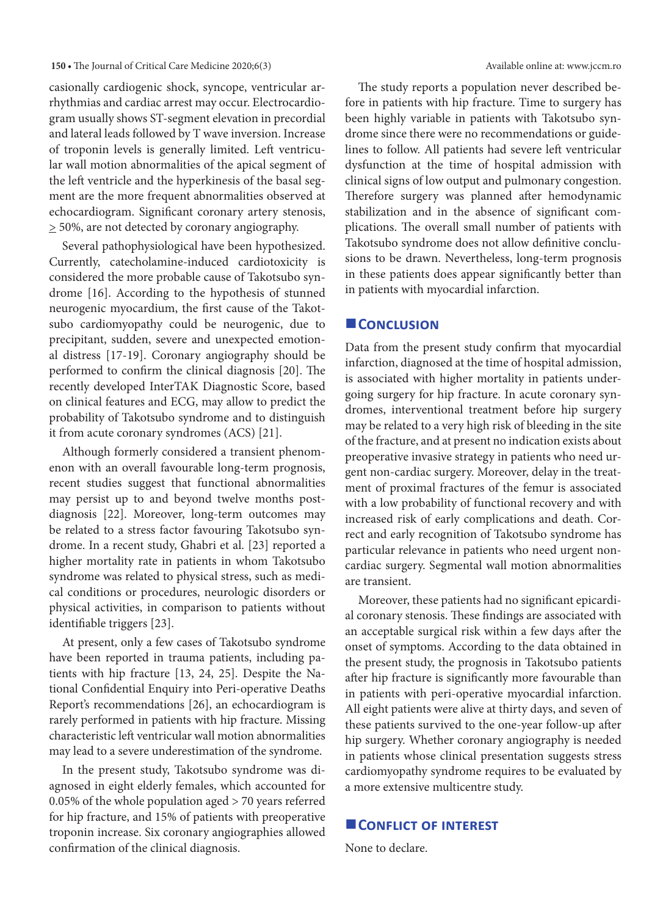casionally cardiogenic shock, syncope, ventricular arrhythmias and cardiac arrest may occur. Electrocardiogram usually shows ST-segment elevation in precordial and lateral leads followed by T wave inversion. Increase of troponin levels is generally limited. Left ventricular wall motion abnormalities of the apical segment of the left ventricle and the hyperkinesis of the basal segment are the more frequent abnormalities observed at echocardiogram. Significant coronary artery stenosis,  $\geq$  50%, are not detected by coronary angiography.

Several pathophysiological have been hypothesized. Currently, catecholamine-induced cardiotoxicity is considered the more probable cause of Takotsubo syndrome [16]. According to the hypothesis of stunned neurogenic myocardium, the first cause of the Takotsubo cardiomyopathy could be neurogenic, due to precipitant, sudden, severe and unexpected emotional distress [17-19]. Coronary angiography should be performed to confirm the clinical diagnosis [20]. The recently developed InterTAK Diagnostic Score, based on clinical features and ECG, may allow to predict the probability of Takotsubo syndrome and to distinguish it from acute coronary syndromes (ACS) [21].

Although formerly considered a transient phenomenon with an overall favourable long-term prognosis, recent studies suggest that functional abnormalities may persist up to and beyond twelve months postdiagnosis [22]. Moreover, long-term outcomes may be related to a stress factor favouring Takotsubo syndrome. In a recent study, Ghabri et al. [23] reported a higher mortality rate in patients in whom Takotsubo syndrome was related to physical stress, such as medical conditions or procedures, neurologic disorders or physical activities, in comparison to patients without identifiable triggers [23].

At present, only a few cases of Takotsubo syndrome have been reported in trauma patients, including patients with hip fracture [13, 24, 25]. Despite the National Confidential Enquiry into Peri-operative Deaths Report's recommendations [26], an echocardiogram is rarely performed in patients with hip fracture. Missing characteristic left ventricular wall motion abnormalities may lead to a severe underestimation of the syndrome.

In the present study, Takotsubo syndrome was diagnosed in eight elderly females, which accounted for 0.05% of the whole population aged > 70 years referred for hip fracture, and 15% of patients with preoperative troponin increase. Six coronary angiographies allowed confirmation of the clinical diagnosis.

The study reports a population never described before in patients with hip fracture. Time to surgery has been highly variable in patients with Takotsubo syndrome since there were no recommendations or guidelines to follow. All patients had severe left ventricular dysfunction at the time of hospital admission with clinical signs of low output and pulmonary congestion. Therefore surgery was planned after hemodynamic stabilization and in the absence of significant complications. The overall small number of patients with Takotsubo syndrome does not allow definitive conclusions to be drawn. Nevertheless, long-term prognosis in these patients does appear significantly better than in patients with myocardial infarction.

#### **CONCLUSION**

Data from the present study confirm that myocardial infarction, diagnosed at the time of hospital admission, is associated with higher mortality in patients undergoing surgery for hip fracture. In acute coronary syndromes, interventional treatment before hip surgery may be related to a very high risk of bleeding in the site of the fracture, and at present no indication exists about preoperative invasive strategy in patients who need urgent non-cardiac surgery. Moreover, delay in the treatment of proximal fractures of the femur is associated with a low probability of functional recovery and with increased risk of early complications and death. Correct and early recognition of Takotsubo syndrome has particular relevance in patients who need urgent noncardiac surgery. Segmental wall motion abnormalities are transient.

Moreover, these patients had no significant epicardial coronary stenosis. These findings are associated with an acceptable surgical risk within a few days after the onset of symptoms. According to the data obtained in the present study, the prognosis in Takotsubo patients after hip fracture is significantly more favourable than in patients with peri-operative myocardial infarction. All eight patients were alive at thirty days, and seven of these patients survived to the one-year follow-up after hip surgery. Whether coronary angiography is needed in patients whose clinical presentation suggests stress cardiomyopathy syndrome requires to be evaluated by a more extensive multicentre study.

#### **CONFLICT OF INTEREST**

None to declare.